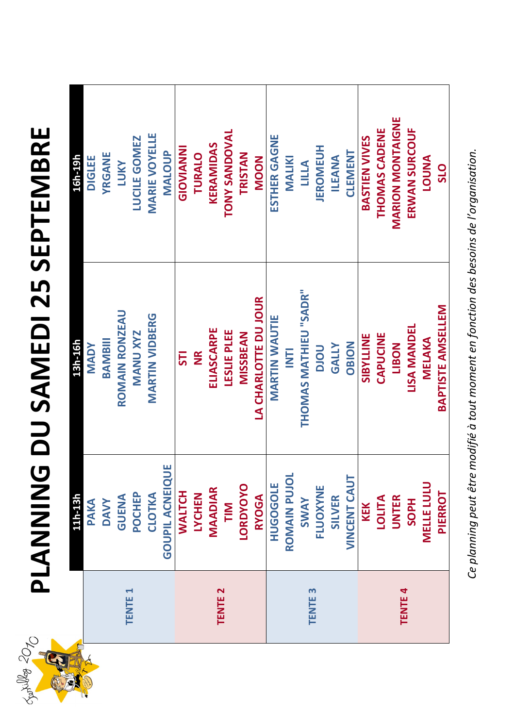

*Ce planning peut être modifié à tout moment en fonction des besoins de l'organisation.* Ce planning peut être modifié à tout moment en fonction des besoins de l'organisation.

## **PLANNING DU SAMEDI 25 SEPTEMBRE**  NNING DU SAMEDI 25 SEPTEMBRE

| 11h-13h                | 13h-16h                  | 16h-19h               |
|------------------------|--------------------------|-----------------------|
| PAKA                   | <b>NADY</b>              | <b>DIGLEE</b>         |
| <b>DAVY</b>            | BAMBIII                  | YRGANE                |
| <b>GUENA</b>           | ROMAIN RONZEAU           | <b>TUKY</b>           |
| POCHEP                 | <b>MANU XYZ</b>          | <b>LUCILE GOMEZ</b>   |
| CLOTKA                 | VIDBERG<br>MARTIN        | <b>MARIE VOYELLE</b>  |
| <b>GOUPIL ACNEIQUE</b> |                          | MALOUP                |
| <b>WALTCH</b>          | 57                       | <b>UNNIVOIS</b>       |
| <b>LYCHEN</b>          | $\mathbf{z}$             | TURALO                |
| <b>MAADIAR</b>         | ELIASCARPE               | KERAMIDAS             |
| TIM                    | <b>LESLIE PLEE</b>       | <b>TONY SANDOVAL</b>  |
| <b>LORDYOYO</b>        | <b>MISSBEAN</b>          | TRISTAN               |
| <b>RYOGA</b>           | LA CHARLOTTE DU JOUR     | <b>NOON</b>           |
| <b>HUGOGOLE</b>        | <b>MARTIN WAUTIE</b>     | ESTHER GAGNE          |
| ROMAIN PUJOL           | $\overline{E}$           | <b>MALIKI</b>         |
| SWAY                   | THOMAS MATHIEU "SADR"    | LILLA                 |
| FLUOXYNE               | DOLO                     | <b>JEROMEUH</b>       |
| <b>SILVER</b>          | <b>GALLY</b>             | ILEANA                |
| <b>VINCENT CAUT</b>    | <b>NOISO</b>             | <b>CLEMENT</b>        |
| KEK                    | <b>SIBYLLINE</b>         | <b>BASTIEN VIVES</b>  |
| LOLITA                 | CAPUCINE                 | THOMAS CADENE         |
| UNTER                  | LIBON                    | MARION MONTAIGNE      |
| <b>HdOS</b>            | LISA MANDEL              | ERWAN SURCOUF         |
| <b>MELLE LULU</b>      | MELAKA                   | <b>ANUOT</b>          |
| <b>PIERROT</b>         | <b>BAPTISTE AMSELLEM</b> | <b>O<sub>1S</sub></b> |
|                        |                          |                       |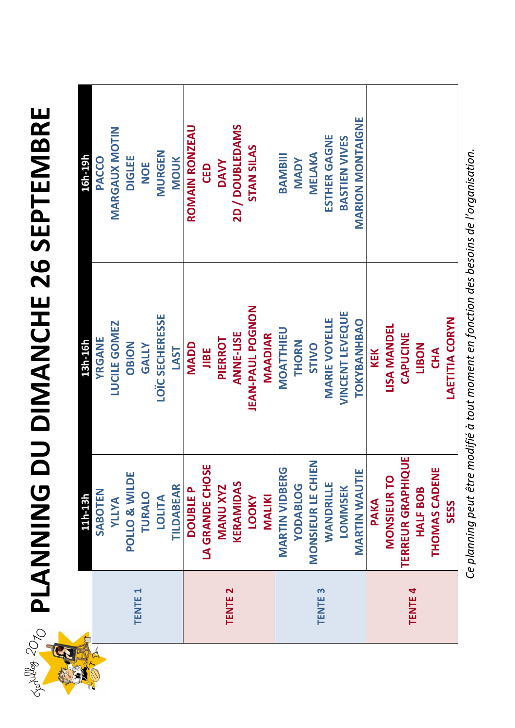*Ce planning peut être modifié à tout moment en fonction des besoins de l'organisation.*  inning peut être modifié à tout moment en fonction des besoins de l'organisation.

| $\zeta$          | - -                                     |                                       |               | œ<br>ш   | pla |
|------------------|-----------------------------------------|---------------------------------------|---------------|----------|-----|
| $\mathbf \Omega$ | $\blacktriangleright$<br>ш<br><b>NE</b> | $\mathbf{\Omega}$<br>ш<br><b>TENT</b> | m<br>ш<br>TEN | ш<br>TEN | ပိ  |
| Fellix des       |                                         |                                       |               |          |     |

# **PLANNING DU DIMANCHE 26 SEPTEMBRE**  NING DU DIMANCHE 26 SEPTEMBRE

| SABOTEN                  |                              |                      |
|--------------------------|------------------------------|----------------------|
|                          | YRGANE                       | PACCO                |
| <b>ALLIA</b>             | GOMEZ<br>LUCILE <sup>(</sup> | <b>MARGAUX MOTIN</b> |
| POLLO & WILDE            | <b>NOISO</b>                 | <b>DIGLEE</b>        |
| TURALO                   | <b>ATT</b><br>GAL            | NOE                  |
| <b>ATITO1</b>            | LOÏC SECHERESSE              | MURGEN               |
| <b>TILDABEAR</b>         | <b>LAST</b>                  | <b>MOUK</b>          |
| <b>DOUBLEP</b>           | <b>NADD</b>                  | ROMAIN RONZEAU       |
| LA GRANDE CHOSE          | <b>JIBE</b>                  | CED                  |
| <b>MANU XYZ</b>          | PIERROT                      | <b>DAVY</b>          |
| KERAMIDAS                | <b>ANNE-LISE</b>             | 2D / DOUBLEDAMS      |
| <b>NOOT</b>              | <b>JEAN-PAUL POGNON</b>      | <b>STAN SILAS</b>    |
| MALIKI                   | <b>MAADIAR</b>               |                      |
| <b>MARTIN VIDBERG</b>    | <b>MOATTHIEU</b>             | BAMBIII              |
| <b>YODABLOG</b>          | THORN                        | <b>NADY</b>          |
| <b>MONSIEUR LE CHIEN</b> | STIVO                        | MELAKA               |
| WANDRILLE                | <b>MARIE VOYELLE</b>         | <b>ESTHER GAGNE</b>  |
| <b>LOMMSEK</b>           | LEVEQUE<br>VINCENT           | <b>BASTIEN VIVES</b> |
| <b>MARTIN WAUTIE</b>     | TOKYBANHBAO                  | MARION MONTAIGNE     |
| <b>PAKA</b>              | KEK                          |                      |
| <b>MONSIEUR TO</b>       | LISA MANDEL                  |                      |
| TERREUR GRAPHIQUE        | CAPUCINE                     |                      |
| <b>HALF BOB</b>          | <b>NOSIT</b>                 |                      |
| THOMAS CADENE            | CHA                          |                      |
| <b>SESS</b>              | <b>LAETITIA CORYN</b>        |                      |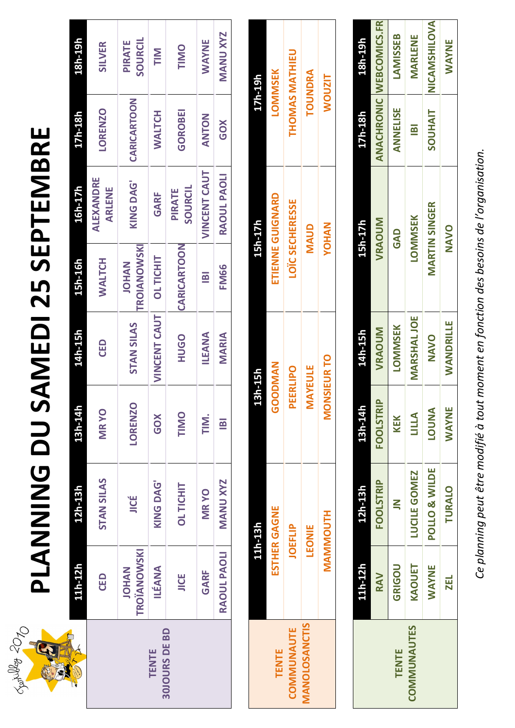## **PLANNING DU SAMEDI 25 SEPTEMBRE**  PLANNING DU SAMEDI 25 SEPTEMBRE

| 11h-12                      | 12h-13h           | 13h-14h        | 14h-15h             | <b>L5h-16h</b>                     | 16h-17h                    | 17h-18h        | 18h-19h                  |
|-----------------------------|-------------------|----------------|---------------------|------------------------------------|----------------------------|----------------|--------------------------|
| CED                         | <b>STAN SILAS</b> | <b>MRYO</b>    | CED                 | WALTCH                             | ALEXANDRE<br><b>ARLENE</b> | <b>LORENZO</b> | <b>SILVER</b>            |
| TROÏANOWSKI<br><b>NAHOL</b> | JICÉ              | LORENZO        | <b>STAN SILAS</b>   | <b>FROIANOWSKI</b><br><b>NAHOL</b> | KING DAG'                  | CARICARTOON    | SOURCIL<br><b>PIRATE</b> |
| <b>ILEANA</b>               | KING DAG'         | GOX            | <b>VINCENT CAUT</b> | <b>OLTICHIT</b>                    | GARF                       | <b>WALTCH</b>  | <b>NIL</b>               |
| <b>JICE</b>                 | <b>OLTICHIT</b>   | TIMO           | <b>OPOH</b>         | CARICARTOON                        | SOURCIL<br><b>PIRATE</b>   | <b>GOROBEI</b> | TIMO                     |
| GARF                        | <b>MRYO</b>       | TIM.           | ILEANA              | $\blacksquare$                     | <b>VINCENT CAUT</b>        | <b>ANTON</b>   | <b>MAYNE</b>             |
| RAOUL PAOLI                 | <b>MANU XYZ</b>   | $\blacksquare$ | MARIA               | <b>FM66</b>                        | RAOUL PAOLI                | <b>GOX</b>     | <b>MANU XYZ</b>          |
|                             |                   |                |                     |                                    |                            |                |                          |



*Ce planning peut être modifié à tout moment en fonction des besoins de l'organisation.* Ce planning peut être modifié à tout moment en fonction des besoins de l'organisation.



**MANOLOSANCTIS**

**MANOLOSANCTIS** 

| 11h-13h       | 13h-15h            | <b>L5h-17h</b>         | 17h-19h               |
|---------------|--------------------|------------------------|-----------------------|
| ESTHER GAGNE  | GOODMAN            | ETIENNE GUIGNARD       | <b>LOMMSEK</b>        |
| JOEFLIP       | <b>PEERLIPO</b>    | <b>LOÏC SECHERESSE</b> | <b>THOMAS MATHIEU</b> |
| <b>LEONIE</b> | <b>MAYEULE</b>     | <b>QUAN</b>            | TOUNDRA               |
| MAMMOUTH      | <b>MONSIEUR TO</b> | <b>VOHAN</b>           | <b>WOUZIT</b>         |
|               |                    |                        |                       |



| l1h-12h      | 12h-13h          | 13h-14h          | 14h-15h           | 15h-17h              | $17h - 18h$    | 18h-19h                        |
|--------------|------------------|------------------|-------------------|----------------------|----------------|--------------------------------|
| <b>RAV</b>   | <b>FOOLSTRIP</b> | <b>FOOLSTRIP</b> | VRAOUM            | VRAOUM               |                | <b>ANACHRONIC WEBCOMICS.FR</b> |
| GRIGOU       | $\mathbf{z}$     | KEK              | <b>LOMMSEK</b>    | GAD                  | ANNELISE       | <b>LAMISSEB</b>                |
| <b>AQUET</b> | LUCILE GOMEZ     | LILLA            | <b>MARSHALJOE</b> | <b>LOMMSEK</b>       | $\blacksquare$ | MARLENE                        |
| <b>NAVAY</b> | POLLO & WILDE    | <b>ANNOT</b>     | <b>OVANO</b>      | <b>MARTIN SINGER</b> | <b>TIAHUOS</b> | NICAMSHILOVA                   |
| <u>ze</u>    | TURALO           | <b>NAVAY</b>     | WANDRILLE         | <b>NAVO</b>          |                | <b>NAYAWE</b>                  |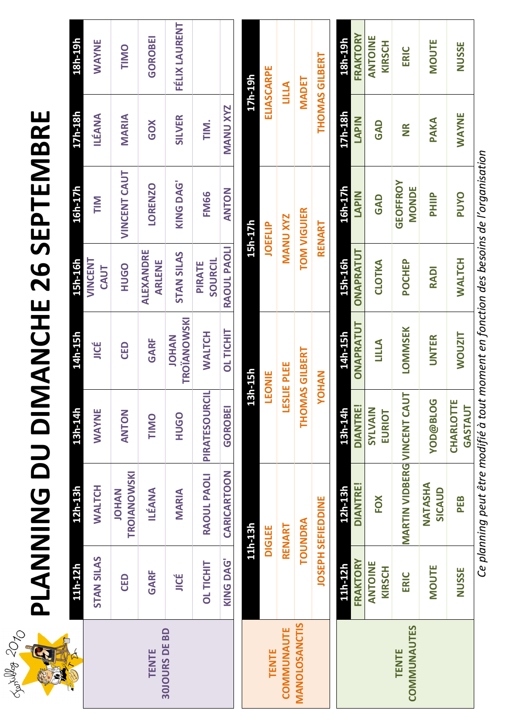| Ш                            |  |
|------------------------------|--|
| œ                            |  |
|                              |  |
| $\blacksquare$               |  |
|                              |  |
|                              |  |
| J                            |  |
| H                            |  |
| $\blacksquare$               |  |
| Ш                            |  |
|                              |  |
| $\overline{\mathbf{C}}$<br>7 |  |
| $\boldsymbol{\omega}$        |  |
| $\blacktriangle$<br>I        |  |
|                              |  |
| Ш                            |  |
|                              |  |
| $\overline{\mathbf{C}}$      |  |
|                              |  |
|                              |  |
|                              |  |
|                              |  |
|                              |  |
|                              |  |
| Ĺ                            |  |
|                              |  |
|                              |  |
|                              |  |
| $\Box$                       |  |
| Ŋ                            |  |
| C                            |  |
|                              |  |
|                              |  |
|                              |  |
|                              |  |
|                              |  |
|                              |  |
|                              |  |
|                              |  |
|                              |  |

| 11h-12h           | 12h-13h                     | 13h-14h       | 14h-15h                     | $-5h-16h$           | 16h-17h             | 17h-18h         | 18h-19h       |
|-------------------|-----------------------------|---------------|-----------------------------|---------------------|---------------------|-----------------|---------------|
| <b>STAN SILAS</b> | <b>WALTCH</b>               | <b>NAYAY</b>  | JICE                        | VINCENT<br>CAUT     | <b>NIL</b>          | ILÉANA          | WAYNE         |
| CED               | TROIANOWSKI<br><b>NAHOL</b> | <b>ZOHZK</b>  | CED                         | <b>OPOH</b>         | <b>VINCENT CAUT</b> | MARIA           | TIMIO         |
| GARF              | <b>ILÉANA</b>               | TIMO          | GARF                        | ALEXANDRE<br>ARLENE | <b>LORENZO</b>      | GOX             | GOROBEI       |
| JICÉ              | MARIA                       | <b>OPOH</b>   | TROÏANOWSKI<br><b>NAHOL</b> | <b>STAN SILAS</b>   | KING DAG'           | <b>SILVER</b>   | FÉLIX LAURENT |
| OL TICHI'         | RAOUL PAOLI                 | PIRATESOURCIL | <b>WALTCH</b>               | SOURCIL<br>PIRATE   | <b>FM66</b>         | TIM.            |               |
| KING DAG'         | CARICARTOON                 | GOROBEI       | <b>OLTICHIT</b>             | RAOUL PAOLI         | <b>ANTON</b>        | <b>MANU XYZ</b> |               |
|                   |                             |               |                             |                     |                     |                 |               |



**ELIASCARPE** 

LILLA

**MANU XYZ** 

**LESLIE PLEE** 

LEONIE

13h-15h

17h-19h

15h-17h

**JOEFLIP** 

*Ce planning peut être modifié à tout moment en fonction des besoins de l'organisation* Ce planning peut être modifié à tout moment en fonction des besoins de l'organisation

|                                     | TOUNDRA                     | THOMAS GILBERT           |                |               | <b>TOM VIGUIER</b>       |              | <b>MADET</b>      |
|-------------------------------------|-----------------------------|--------------------------|----------------|---------------|--------------------------|--------------|-------------------|
|                                     | <b>JOSEPH SEFIEDDINE</b>    | <b>NOHOY</b>             |                |               | RENART                   |              | THOMAS GILBERT    |
| 11h-12h                             | 12h-13h                     | <u>13h-14h</u>           | 14h-15h        | L5h-16h       | 16h-17h                  | 17h-18h      | 18h-19h           |
| FRAKTORY                            | <b>DIANTRE!</b>             | <b>DIANTRE!</b>          | ONAPRATUT      | ONAPRATUT     | <b>LAPIN</b>             | <b>LAPIN</b> | FRAKTORY          |
| щ<br><b>NIOINA</b><br><b>KIRSCH</b> | FOX                         | <b>NIVAINS</b><br>EURIOT | LILLA          | CLOTKA        | GAD                      | GAD          | ANTOINE<br>KIRSCH |
| ERIC                                | MARTIN VIDBERG VINCENT CAUT |                          | <b>LOMMSEK</b> | POCHEP        | <b>GEOFFROY</b><br>MONDE | $\mathbf{R}$ | ERIC              |
| <b>MOUTE</b>                        | NATASHA<br>SICAUD           | <b>NOD@BLOG</b>          | UNTER          | RADI          | PHIIP                    | PAKA         | <b>NOUTE</b>      |
| <b>NUSSE</b>                        | PEB                         | CHARLOTTE<br>GASTAUT     | <b>NOUZIT</b>  | <b>WALTCH</b> | <b>PUYO</b>              | WAYNE        | <b>NUSSE</b>      |